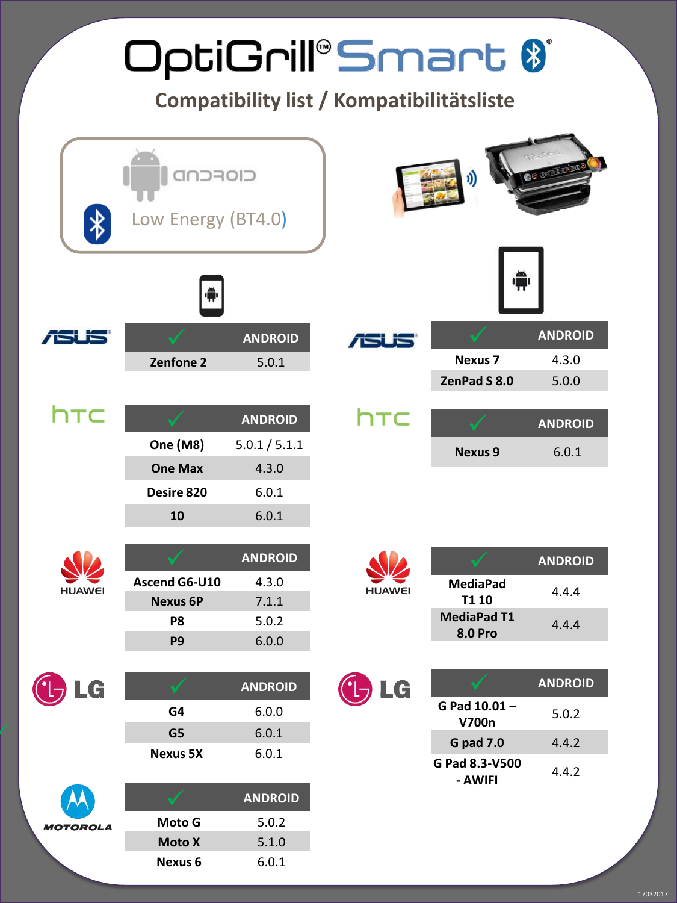|                 |                                |                | OptiGrill®Smart 8<br>Compatibility list / Kompatibilitätsliste |                                      |                |
|-----------------|--------------------------------|----------------|----------------------------------------------------------------|--------------------------------------|----------------|
|                 | CIOFCNI.<br>Low Energy (BT4.0) |                |                                                                |                                      |                |
|                 |                                |                |                                                                |                                      |                |
|                 |                                | <b>ANDROID</b> | ra F                                                           |                                      | <b>ANDROID</b> |
|                 | Zenfone <sub>2</sub>           | 5.0.1          |                                                                | <b>Nexus 7</b>                       | 4.3.0          |
|                 |                                |                |                                                                | ZenPad S 8.0                         | 5.0.0          |
| htc             |                                | <b>ANDROID</b> | htc                                                            |                                      | <b>ANDROID</b> |
|                 | One (M8)                       | 5.0.1 / 5.1.1  |                                                                | <b>Nexus 9</b>                       | 6.0.1          |
|                 | <b>One Max</b>                 | 4.3.0          |                                                                |                                      |                |
|                 | Desire 820                     | 6.0.1          |                                                                |                                      |                |
|                 | 10                             | 6.0.1          |                                                                |                                      |                |
|                 |                                |                |                                                                |                                      |                |
|                 |                                | <b>ANDROID</b> |                                                                |                                      | <b>ANDROID</b> |
| <b>HUAWEI</b>   | Ascend G6-U10                  | 4.3.0          | <b>HUAWEI</b>                                                  | <b>MediaPad</b>                      | 4.4.4          |
|                 | <b>Nexus 6P</b>                | 7.1.1          |                                                                | T1 10                                |                |
|                 | P <sub>8</sub>                 | 5.0.2          |                                                                | <b>MediaPad T1</b><br><b>8.0 Pro</b> | 4.4.4          |
|                 | P <sub>9</sub>                 | 6.0.0          |                                                                |                                      |                |
|                 |                                |                |                                                                |                                      |                |
| LG              |                                | <b>ANDROID</b> | LG                                                             | G Pad 10.01-                         | <b>ANDROID</b> |
|                 | G4                             | 6.0.0          |                                                                | V700n                                | 5.0.2          |
|                 | G5                             | 6.0.1          |                                                                | <b>G</b> pad 7.0                     | 4.4.2          |
|                 | <b>Nexus 5X</b>                | 6.0.1          |                                                                | G Pad 8.3-V500<br>- AWIFI            | 4.4.2          |
|                 |                                | <b>ANDROID</b> |                                                                |                                      |                |
| <b>MOTOROLA</b> | Moto G                         | 5.0.2          |                                                                |                                      |                |
|                 | <b>Moto X</b>                  | 5.1.0          |                                                                |                                      |                |
|                 | Nexus <sub>6</sub>             | 6.0.1          |                                                                |                                      |                |

17032017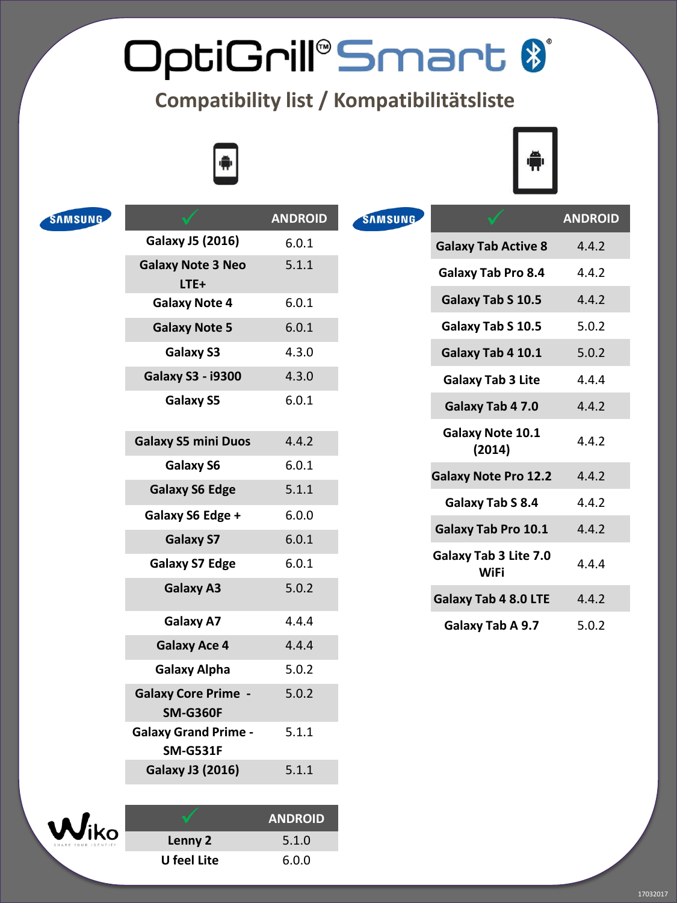## OptiGrill®Smart \$

## **Compatibility list / Kompatibilitätsliste**





|                                                | <b>ANDROID</b>                                      | <b>SAMSUNG</b>          |                                   | <b>ANDROID</b>                                      |
|------------------------------------------------|-----------------------------------------------------|-------------------------|-----------------------------------|-----------------------------------------------------|
| <b>Galaxy J5 (2016)</b>                        | 6.0.1                                               |                         | <b>Galaxy Tab Active 8</b>        | 4.4.2                                               |
| <b>Galaxy Note 3 Neo</b>                       | 5.1.1                                               |                         | <b>Galaxy Tab Pro 8.4</b>         | 4.4.2                                               |
| <b>Galaxy Note 4</b>                           | 6.0.1                                               |                         | Galaxy Tab S 10.5                 | 4.4.2                                               |
| <b>Galaxy Note 5</b>                           | 6.0.1                                               |                         | Galaxy Tab S 10.5                 | 5.0.2                                               |
| Galaxy S3                                      | 4.3.0                                               |                         | Galaxy Tab 4 10.1                 | 5.0.2                                               |
| <b>Galaxy S3 - i9300</b>                       | 4.3.0                                               |                         | <b>Galaxy Tab 3 Lite</b>          | 4.4.4                                               |
| Galaxy S5                                      | 6.0.1                                               |                         | Galaxy Tab 4 7.0                  | 4.4.2                                               |
| <b>Galaxy S5 mini Duos</b>                     | 4.4.2                                               |                         | <b>Galaxy Note 10.1</b><br>(2014) | 4.4.2                                               |
| Galaxy S6                                      | 6.0.1                                               |                         | <b>Galaxy Note Pro 12.2</b>       | 4.4.2                                               |
|                                                |                                                     |                         | Galaxy Tab S 8.4                  | 4.4.2                                               |
| Galaxy S6 Edge +                               |                                                     |                         |                                   | 4.4.2                                               |
|                                                |                                                     |                         |                                   |                                                     |
| <b>Galaxy S7 Edge</b>                          | 6.0.1                                               |                         | <b>WiFi</b>                       | 4.4.4                                               |
| <b>Galaxy A3</b>                               | 5.0.2                                               |                         | <b>Galaxy Tab 4 8.0 LTE</b>       | 4.4.2                                               |
| <b>Galaxy A7</b>                               | 4.4.4                                               |                         | Galaxy Tab A 9.7                  | 5.0.2                                               |
| <b>Galaxy Ace 4</b>                            | 4.4.4                                               |                         |                                   |                                                     |
| <b>Galaxy Alpha</b>                            | 5.0.2                                               |                         |                                   |                                                     |
| <b>Galaxy Core Prime -</b><br><b>SM-G360F</b>  | 5.0.2                                               |                         |                                   |                                                     |
| <b>Galaxy Grand Prime -</b><br><b>SM-G531F</b> | 5.1.1                                               |                         |                                   |                                                     |
| <b>Galaxy J3 (2016)</b>                        | 5.1.1                                               |                         |                                   |                                                     |
|                                                | $LTE+$<br><b>Galaxy S6 Edge</b><br><b>Galaxy S7</b> | 5.1.1<br>6.0.0<br>6.0.1 |                                   | <b>Galaxy Tab Pro 10.1</b><br>Galaxy Tab 3 Lite 7.0 |



|             | <b>ANDROID</b> |
|-------------|----------------|
| Lenny 2     | 5.1.0          |
| U feel Lite | 6.0.0          |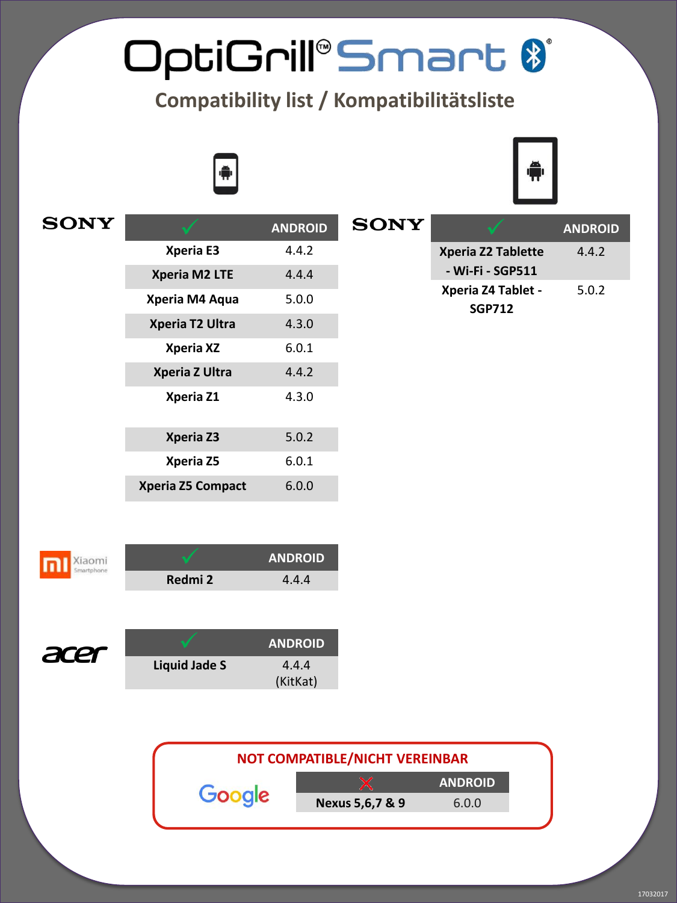## OptiGrill®Smart  $\clubsuit$

**Compatibility list / Kompatibilitätsliste** 





| <b>SONY</b> |                          | <b>ANDROID</b> | <b>SONY</b> |                                     | <b>ANDROID</b> |
|-------------|--------------------------|----------------|-------------|-------------------------------------|----------------|
|             | Xperia E3                | 4.4.2          |             | Xperia Z2 Tablette                  | 4.4.2          |
|             | Xperia M2 LTE            | 4.4.4          |             | - Wi-Fi - SGP511                    |                |
|             | Xperia M4 Aqua           | 5.0.0          |             | Xperia Z4 Tablet -<br><b>SGP712</b> | 5.0.2          |
|             | Xperia T2 Ultra          | 4.3.0          |             |                                     |                |
|             | Xperia XZ                | 6.0.1          |             |                                     |                |
|             | Xperia Z Ultra           | 4.4.2          |             |                                     |                |
|             | Xperia Z1                | 4.3.0          |             |                                     |                |
|             | Xperia Z3                | 5.0.2          |             |                                     |                |
|             | Xperia Z5                | 6.0.1          |             |                                     |                |
|             | <b>Xperia Z5 Compact</b> | 6.0.0          |             |                                     |                |
|             |                          |                |             |                                     |                |



|         | <b>ANDROID</b> |
|---------|----------------|
| Redmi 2 | 4.4.4          |
|         |                |



|               | <b>ANDROID</b> |
|---------------|----------------|
| Liquid Jade S | 4.4.4          |
|               | (KitKat)       |

|        | NOT COMPATIBLE/NICHT VEREINBAR |                |
|--------|--------------------------------|----------------|
|        |                                | <b>ANDROID</b> |
| Google | Nexus 5,6,7 & 9                | 6.0.0          |